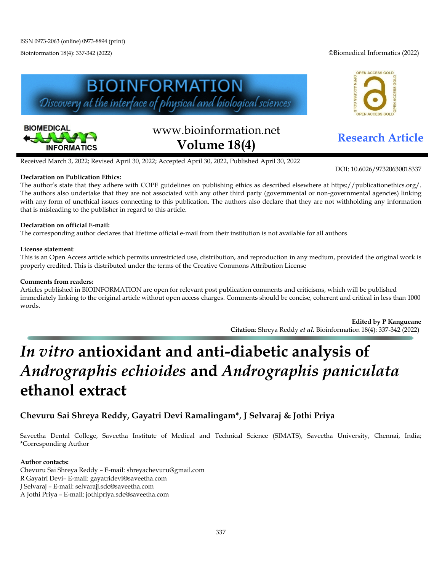Bioinformation 18(4): 337-342 (2022) ©Biomedical Informatics (2022)







# www.bioinformation.net **Research Article Volume 18(4)**

DOI: 10.6026/97320630018337

Received March 3, 2022; Revised April 30, 2022; Accepted April 30, 2022, Published April 30, 2022

#### **Declaration on Publication Ethics:**

The author's state that they adhere with COPE guidelines on publishing ethics as described elsewhere at https://publicationethics.org/. The authors also undertake that they are not associated with any other third party (governmental or non-governmental agencies) linking with any form of unethical issues connecting to this publication. The authors also declare that they are not withholding any information that is misleading to the publisher in regard to this article.

#### **Declaration on official E-mail:**

The corresponding author declares that lifetime official e-mail from their institution is not available for all authors

#### **License statement**:

This is an Open Access article which permits unrestricted use, distribution, and reproduction in any medium, provided the original work is properly credited. This is distributed under the terms of the Creative Commons Attribution License

#### **Comments from readers:**

Articles published in BIOINFORMATION are open for relevant post publication comments and criticisms, which will be published immediately linking to the original article without open access charges. Comments should be concise, coherent and critical in less than 1000 words.

> **Edited by P Kangueane Citation**: Shreya Reddy *et al.* Bioinformation 18(4): 337-342 (2022)

## *In vitro* **antioxidant and anti-diabetic analysis of**  *Andrographis echioides* **and** *Andrographis paniculata* **ethanol extract**

### **Chevuru Sai Shreya Reddy, Gayatri Devi Ramalingam\*, J Selvaraj & Joth**i **Priya**

Saveetha Dental College, Saveetha Institute of Medical and Technical Science (SIMATS), Saveetha University, Chennai, India; \*Corresponding Author

#### **Author contacts:**

Chevuru Sai Shreya Reddy – E-mail: shreyachevuru@gmail.com R Gayatri Devi– E-mail: gayatridevi@saveetha.com J Selvaraj – E-mail: selvarajj.sdc@saveetha.com A Jothi Priya – E-mail: jothipriya.sdc@saveetha.com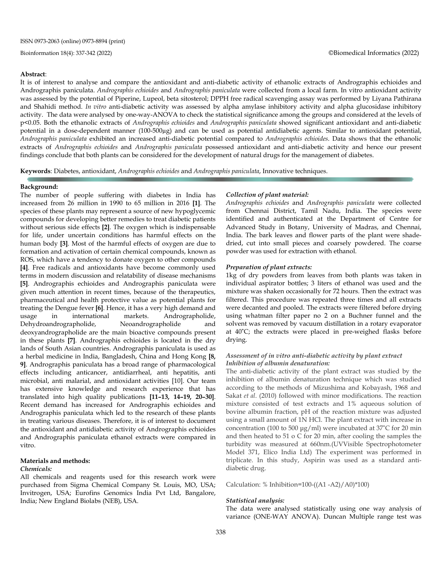#### **Abstract**:

It is of interest to analyse and compare the antioxidant and anti-diabetic activity of ethanolic extracts of Andrographis echioides and Andrographis paniculata. *Andrographis echioides* and *Andrographis paniculata* were collected from a local farm. In vitro antioxidant activity was assessed by the potential of Piperine, Lupeol, beta sitosterol; DPPH free radical scavenging assay was performed by Liyana Pathirana and Shahidi method. *In vitro* anti-diabetic activity was assessed by alpha amylase inhibitory activity and alpha glucosidase inhibitory activity. The data were analysed by one-way-ANOVA to check the statistical significance among the groups and considered at the levels of p<0.05. Both the ethanolic extracts of *Andrographis echioides* and *Andrographis paniculata* showed significant antioxidant and anti-diabetic potential in a dose-dependent manner (100-500µg) and can be used as potential antidiabetic agents. Similar to antioxidant potential, *Andrographis paniculata* exhibited an increased anti-diabetic potential compared to *Andrographis echioides*. Data shows that the ethanolic extracts of *Andrographis echioides* and *Andrographis paniculata* possessed antioxidant and anti-diabetic activity and hence our present findings conclude that both plants can be considered for the development of natural drugs for the management of diabetes.

**Keywords**: Diabetes, antioxidant, *Andrographis echioides* and *Andrographis paniculata*, Innovative techniques.

#### **Background:**

The number of people suffering with diabetes in India has increased from 26 million in 1990 to 65 million in 2016 **[1]**. The species of these plants may represent a source of new hypoglycemic compounds for developing better remedies to treat diabetic patients without serious side effects **[2]**. The oxygen which is indispensable for life, under uncertain conditions has harmful effects on the human body **[3]**. Most of the harmful effects of oxygen are due to formation and activation of certain chemical compounds, known as ROS, which have a tendency to donate oxygen to other compounds **[4]**. Free radicals and antioxidants have become commonly used terms in modern discussion and relatability of disease mechanisms **[5]**. Andrographis echioides and Andrographis paniculata were given much attention in recent times, because of the therapeutics, pharmaceutical and health protective value as potential plants for treating the Dengue fever **[6]**. Hence, it has a very high demand and usage in international markets. Andrographolide, Dehydroandrographolide, Neoandrographolide and deoxyandrographolide are the main bioactive compounds present in these plants **[7]**. Andrographis echioides is located in the dry lands of South Asian countries. Andrographis paniculata is used as a herbal medicine in India, Bangladesh, China and Hong Kong **[8, 9]**. Andrographis paniculata has a broad range of pharmacological effects including anticancer, antidiarrheal, anti hepatitis, anti microbial, anti malarial, and antioxidant activities [10]. Our team has extensive knowledge and research experience that has translated into high quality publications **[11–13, 14–19, 20–30]**. Recent demand has increased for Andrographis echioides and Andrographis paniculata which led to the research of these plants in treating various diseases. Therefore, it is of interest to document the antioxidant and antidiabetic activity of Andrographis echioides and Andrographis paniculata ethanol extracts were compared in vitro.

#### **Materials and methods:**

#### *Chemicals:*

All chemicals and reagents used for this research work were purchased from Sigma Chemical Company St. Louis, MO, USA; Invitrogen, USA; Eurofins Genomics India Pvt Ltd, Bangalore, India; New England Biolabs (NEB), USA.

#### *Collection of plant material:*

*Andrographis echioides* and *Andrographis paniculata* were collected from Chennai District, Tamil Nadu, India. The species were identified and authenticated at the Department of Centre for Advanced Study in Botany, University of Madras, and Chennai, India. The bark leaves and flower parts of the plant were shadedried, cut into small pieces and coarsely powdered. The coarse powder was used for extraction with ethanol.

#### *Preparation of plant extracts:*

1kg of dry powders from leaves from both plants was taken in individual aspirator bottles; 3 liters of ethanol was used and the mixture was shaken occasionally for 72 hours. Then the extract was filtered. This procedure was repeated three times and all extracts were decanted and pooled. The extracts were filtered before drying using whatman filter paper no 2 on a Buchner funnel and the solvent was removed by vacuum distillation in a rotary evaporator at 40˚C; the extracts were placed in pre-weighed flasks before drying.

#### *Assessment of in vitro anti-diabetic activity by plant extract Inhibition of albumin denaturation:*

The anti-diabetic activity of the plant extract was studied by the inhibition of albumin denaturation technique which was studied according to the methods of Mizushima and Kobayash, 1968 and Sakat *et al*. (2010) followed with minor modifications. The reaction mixture consisted of test extracts and 1% aqueous solution of bovine albumin fraction, pH of the reaction mixture was adjusted using a small amount of 1N HCl. The plant extract with increase in concentration (100 to 500 μg/ml) were incubated at 37˚C for 20 min and then heated to 51 o C for 20 min, after cooling the samples the turbidity was measured at 660nm.(UVVisible Spectrophotometer Model 371, Elico India Ltd) The experiment was performed in triplicate. In this study, Aspirin was used as a standard antidiabetic drug.

Calculation: % Inhibition=100-((A1 -A2)/A0)\*100)

#### *Statistical analysis:*

The data were analysed statistically using one way analysis of variance (ONE-WAY ANOVA). Duncan Multiple range test was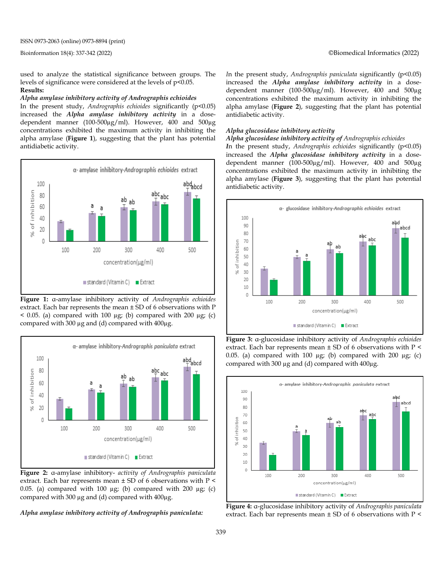used to analyze the statistical significance between groups. The levels of significance were considered at the levels of p<0.05. **Results:**

#### *Alpha amylase inhibitory activity of Andrographis echioides*

In the present study, *Andrographis echioides* significantly (p<0.05) increased the *Alpha amylase inhibitory activity* in a dosedependent manner (100-500µg/ml). However, 400 and 500µg concentrations exhibited the maximum activity in inhibiting the alpha amylase (**Figure 1**), suggesting that the plant has potential antidiabetic activity.



**Figure 1:** α-amylase inhibitory activity of *Andrographis echioides*  extract. Each bar represents the mean ± SD of 6 observations with P  $< 0.05$ . (a) compared with 100 µg; (b) compared with 200 µg; (c) compared with 300 µg and (d) compared with 400µg.



**Figure 2:** α-amylase inhibitory- *activity of Andrographis paniculata* extract. Each bar represents mean ± SD of 6 observations with P < 0.05. (a) compared with 100  $\mu$ g; (b) compared with 200  $\mu$ g; (c) compared with 300 µg and (d) compared with 400µg.



*I*n the present study, *Andrographis paniculata* significantly (p<0.05) increased the *Alpha amylase inhibitory activity* in a dosedependent manner (100-500µg/ml). However, 400 and 500µg concentrations exhibited the maximum activity in inhibiting the alpha amylase (**Figure 2**), suggesting *t*hat the plant has potential antidiabetic activity.

#### *Alpha glucosidase inhibitory activity*

*Alpha glucosidase inhibitory activity of Andrographis echioides*

*In the present study, Andrographis echioides significantly (p<0.05)* increased the *Alpha glucosidase inhibitory activity* in a dosedependent manner (100-500µg/ml). However, 400 and 500µg concentrations exhibited the maximum activity in inhibiting the alpha amylase (**Figure 3**), suggesting that the plant has potential antidiabetic activity.



**Figure 3:** α-glucosidase inhibitory activity of *Andrographis echioides*  extract. Each bar represents mean ± SD of 6 observations with P < 0.05. (a) compared with 100  $\mu$ g; (b) compared with 200  $\mu$ g; (c) compared with 300  $\mu$ g and (d) compared with 400 $\mu$ g.



**Figure 4:** α-glucosidase inhibitory activity of *Andrographis paniculata* extract. Each bar represents mean ± SD of 6 observations with P <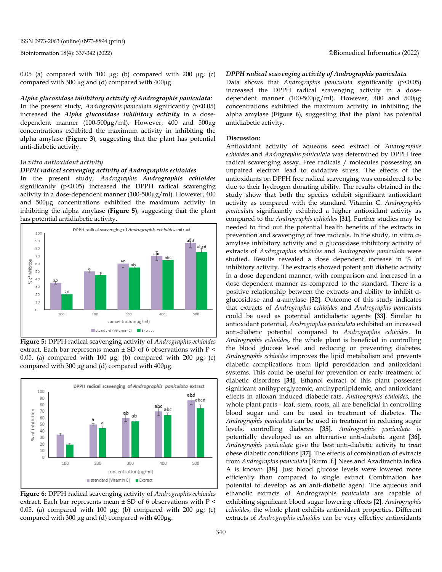0.05 (a) compared with 100  $\mu$ g; (b) compared with 200  $\mu$ g; (c) compared with 300  $\mu$ g and (d) compared with 400 $\mu$ g.

*Alpha glucosidase inhibitory activity of Andrographis paniculata: I*n the present study, *Andrographis paniculata* significantly (p<0.05) increased the *Alpha glucosidase inhibitory activity* in a dosedependent manner (100-500µg/ml). However, 400 and 500µg concentrations exhibited the maximum activity in inhibiting the alpha amylase (**Figure 3**), suggesting that the plant has potential anti-diabetic activity.

#### *In vitro antioxidant activity*

#### *DPPH radical scavenging activity of Andrographis echioides*

*I*n the present study, *Andrographis Andrographis echioides* significantly (p<0.05) increased the DPPH radical scavenging activity in a dose-dependent manner (100-500µg/ml). However, 400 and 500µg concentrations exhibited the maximum activity in inhibiting the alpha amylase (**Figure 5**), suggesting that the plant has potential antidiabetic activity.



**Figure 5:** DPPH radical scavenging activity of *Andrographis echioides* extract. Each bar represents mean ± SD of 6 observations with P < 0.05. (a) compared with 100  $\mu$ g; (b) compared with 200  $\mu$ g; (c) compared with 300  $\mu$ g and (d) compared with 400 $\mu$ g.



**Figure 6:** DPPH radical scavenging activity of *Andrographis echioides*  extract. Each bar represents mean ± SD of 6 observations with P < 0.05. (a) compared with 100  $\mu$ g; (b) compared with 200  $\mu$ g; (c) compared with 300 µg and (d) compared with 400µg.

#### *DPPH radical scavenging activity of Andrographis paniculata*

Data shows that *Andrographis paniculata* significantly (p<0.05) increased the DPPH radical scavenging activity in a dosedependent manner (100-500µg/ml). However, 400 and 500µg concentrations exhibited the maximum activity in inhibiting the alpha amylase (**Figure 6**), suggesting that the plant has potential antidiabetic activity.

#### **Discussion:**

Antioxidant activity of aqueous seed extract of *Andrographis echioides* and *Andrographis paniculata* was determined by DPPH free radical scavenging assay. Free radicals / molecules possessing an unpaired electron lead to oxidative stress. The effects of the antioxidants on DPPH free radical scavenging was considered to be due to their hydrogen donating ability. The results obtained in the study show that both the species exhibit significant antioxidant activity as compared with the standard Vitamin C. *Andrographis paniculata* significantly exhibited a higher antioxidant activity as compared to the *Andrographis echioides* **[31]**. Further studies may be needed to find out the potential health benefits of the extracts in prevention and scavenging of free radicals. In the study, in vitro αamylase inhibitory activity and α glucosidase inhibitory activity of extracts of *Andrographis echioides* and *Andrographis paniculata* were studied. Results revealed a dose dependent increase in % of inhibitory activity. The extracts showed potent anti diabetic activity in a dose dependent manner, with comparison and increased in a dose dependent manner as compared to the standard. There is a positive relationship between the extracts and ability to inhibit αglucosidase and α-amylase **[32]**. Outcome of this study indicates that extracts of *Andrographis echioides* and *Andrographis paniculata*  could be used as potential antidiabetic agents **[33]**. Similar to antioxidant potential, *Andrographis paniculata* exhibited an increased anti-diabetic potential compared to *Andrographis echioides*. In *Andrographis echioides*, the whole plant is beneficial in controlling the blood glucose level and reducing or preventing diabetes*. Andrographis echioides* improves the lipid metabolism and prevents diabetic complications from lipid peroxidation and antioxidant systems. This could be useful for prevention or early treatment of diabetic disorders **[34]**. Ethanol extract of this plant possesses significant antihyperglycemic, antihyperlipidemic, and antioxidant effects in alloxan induced diabetic rats. *Andrographis echioides*, the whole plant parts - leaf, stem, roots, all are beneficial in controlling blood sugar and can be used in treatment of diabetes. The *Andrographis paniculata* can be used in treatment in reducing sugar levels, controlling diabetes **[35]***. Andrographis paniculata* is potentially developed as an alternative anti-diabetic agent **[36]***. Andrographis paniculata* give the best anti-diabetic activity to treat obese diabetic conditions **[37]**. The effects of combination of extracts from *Andrographis paniculata* [Burm .f.] Nees and Azadirachta indica A is known **[38]**. Just blood glucose levels were lowered more efficiently than compared to single extract Combination has potential to develop as an anti-diabetic agent. The aqueous and ethanolic extracts of Andrographis *paniculata* are capable of exhibiting significant blood sugar lowering effects **[2]**. *Andrographis echioides*, the whole plant exhibits antioxidant properties. Different extracts of *Andrographis echioides* can be very effective antioxidants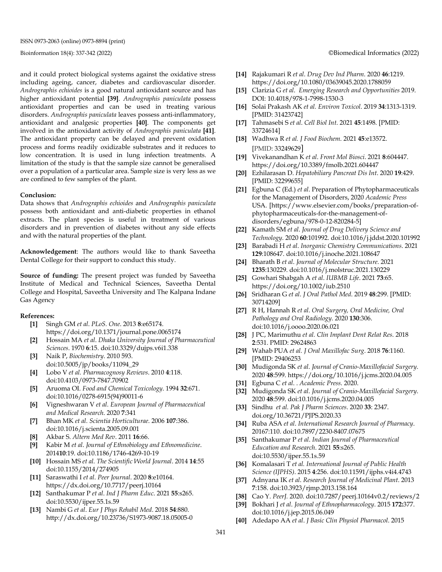ISSN 0973-2063 (online) 0973-8894 (print)

and it could protect biological systems against the oxidative stress including ageing, cancer, diabetes and cardiovascular disorder*. Andrographis echioides* is a good natural antioxidant source and has higher antioxidant potential **[39]**. *Andrographis paniculata* possess antioxidant properties and can be used in treating various disorders. *Andrographis paniculata* leaves possess anti-inflammatory, antioxidant and analgesic properties **[40]**. The components get involved in the antioxidant activity of *Andrographis paniculata* **[41]**. The antioxidant property can be delayed and prevent oxidation process and forms readily oxidizable substrates and it reduces to low concentration. It is used in lung infection treatments. A limitation of the study is that the sample size cannot be generalised over a population of a particular area. Sample size is very less as we are confined to few samples of the plant.

#### **Conclusion:**

Data shows that *Andrographis echioides* and *Andrographis paniculata* possess both antioxidant and anti-diabetic properties in ethanol extracts. The plant species is useful in treatment of various disorders and in prevention of diabetes without any side effects and with the natural properties of the plant.

**Acknowledgement**: The authors would like to thank Saveetha Dental College for their support to conduct this study.

**Source of funding:** The present project was funded by Saveetha Institute of Medical and Technical Sciences, Saveetha Dental College and Hospital, Saveetha University and The Kalpana Indane Gas Agency

#### **References:**

- **[1]** Singh GM *et al*. *PLoS. One*. 2013 **8**:e65174. https://doi.org/10.1371/journal.pone.0065174
- **[2]** Hossain MA *et al*. *Dhaka University Journal of Pharmaceutical Sciences*. 1970 **6**:15. do[i:10.3329/dujps.v6i1.338](http://dx.doi.org/10.3329/dujps.v6i1.338)
- **[3]** Naik P, *[Biochemistry](http://paperpile.com/b/6zYOIp/XAWQ)*[. 2010 593.](http://paperpile.com/b/6zYOIp/XAWQ)  do[i:10.5005/jp/books/11094\\_29](http://dx.doi.org/10.5005/jp/books/11094_29)
- **[4]** Lobo V *et al. [Pharmacognosy Reviews](http://paperpile.com/b/6zYOIp/Ge0E)*[. 2010](http://paperpile.com/b/6zYOIp/Ge0E) **4**:118. do[i:10.4103/0973-7847.70902](http://dx.doi.org/10.4103/0973-7847.70902)
- **[5]** [Aruoma OI.](http://paperpile.com/b/6zYOIp/bbVg) *Food [and Chemical Toxicology](http://paperpile.com/b/6zYOIp/bbVg)*[. 1994](http://paperpile.com/b/6zYOIp/bbVg) **32**:671. [doi:10.1016/0278-6915\(94\)90011-6](http://paperpile.com/b/6zYOIp/bbVg)
- **[6]** Vigneshwaran V *et al. European Journal of Pharmaceutical and Medical Research*. 2020 **7**:341
- **[7]** [Bhan MK](http://paperpile.com/b/6zYOIp/Wc05) *et al. [Scientia Horticulturae](http://paperpile.com/b/6zYOIp/Wc05)*[. 2006](http://paperpile.com/b/6zYOIp/Wc05) **107**:386. [doi:10.1016/j.scienta.2005.09.001](http://paperpile.com/b/6zYOIp/Wc05)
- **[8]** [Akbar S.](http://paperpile.com/b/6zYOIp/8R81) *[Altern Med Rev](http://paperpile.com/b/6zYOIp/8R81)*[. 2011](http://paperpile.com/b/6zYOIp/8R81) **16**:66.
- **[9]** [Kabir M](http://paperpile.com/b/6zYOIp/ix71) *et al*.*[Journal of Ethnobiology and Ethnomedicine](http://paperpile.com/b/6zYOIp/ix71)*[.](http://paperpile.com/b/6zYOIp/ix71)  2014**10**[:19. doi:10.1186/1746-4269-10-19](http://paperpile.com/b/6zYOIp/ix71)
- **[10]** [Hossain MS](http://paperpile.com/b/6zYOIp/WSzW) *et al. [The Scientific World Journal](http://paperpile.com/b/6zYOIp/WSzW)*[. 2014](http://paperpile.com/b/6zYOIp/WSzW) **14**:55 [doi:10.1155/2014/274905](http://paperpile.com/b/6zYOIp/WSzW)
- **[11]** [Saraswathi I](http://paperpile.com/b/6zYOIp/n5oY) *et al*. *[Peer Jo](http://paperpile.com/b/6zYOIp/n5oY)urnal*. 2020 **8**[:e10164.](http://paperpile.com/b/6zYOIp/n5oY) https://dx.doi.org/10.7717/peerj.10164
- **[12]** [Santhakumar P](http://paperpile.com/b/6zYOIp/eBhn) *et al*. *[Ind J Pharm Educ](http://paperpile.com/b/6zYOIp/eBhn)*[. 2021](http://paperpile.com/b/6zYOIp/eBhn) **55**:s265. doi:10.5530/ijper.55.1s.59
- **[13]** [Nambi G](http://paperpile.com/b/6zYOIp/HWFt) *et al*. *[Eur J Phys Rehabil Med](http://paperpile.com/b/6zYOIp/HWFt)*[. 2018](http://paperpile.com/b/6zYOIp/HWFt) **54**:880. http://dx.doi.org/10.23736/S1973-9087.18.05005-0
- **[14]** [Rajakumari R](http://paperpile.com/b/6zYOIp/LzUa) *et al*. *[Drug Dev Ind Pharm](http://paperpile.com/b/6zYOIp/LzUa)*[. 2020](http://paperpile.com/b/6zYOIp/LzUa) **46**:1219. https://doi.org/10.1080/03639045.2020.1788059
- **[15]** [Clarizia G](http://paperpile.com/b/6zYOIp/LtNA) *et al*. *[Emerging Research and Opportunities](http://paperpile.com/b/6zYOIp/LtNA)* [2019.](http://paperpile.com/b/6zYOIp/LtNA) DOI: 10.4018/978-1-7998-1530-3
- **[16]** [Solai Prakash AK](http://paperpile.com/b/6zYOIp/Wyaw) *et al. [Environ Toxicol](http://paperpile.com/b/6zYOIp/Wyaw)*. 2019 **34**[:1313-1319.](http://paperpile.com/b/6zYOIp/Wyaw) [PMID: 31423742]
- **[17]** [Tahmasebi S](http://paperpile.com/b/6zYOIp/73vU) *et al*[.](http://paperpile.com/b/6zYOIp/73vU) *[Cell Biol Int](http://paperpile.com/b/6zYOIp/73vU)*[. 2021](http://paperpile.com/b/6zYOIp/73vU) **45**:1498. [PMID: 33724614]
- **[18]** [Wadhwa R](http://paperpile.com/b/6zYOIp/EY7u) *et al. [J Food Biochem](http://paperpile.com/b/6zYOIp/EY7u)*. 2021 **45**[:e13572.](http://paperpile.com/b/6zYOIp/EY7u) [PMID: [33249629](http://www.ncbi.nlm.nih.gov/pubmed/33249629)]
- **[19]** [Vivekanandhan K](http://paperpile.com/b/6zYOIp/npmD) *et al*[.](http://paperpile.com/b/6zYOIp/npmD) *[Front Mol Biosci](http://paperpile.com/b/6zYOIp/npmD)*. 2021 **8**[:604447.](http://paperpile.com/b/6zYOIp/npmD) https://doi.org/10.3389/fmolb.2021.604447
- **[20]** [Ezhilarasan D.](http://paperpile.com/b/6zYOIp/geuF) *[Hepatobiliary Pancreat Dis Int](http://paperpile.com/b/6zYOIp/geuF)*[. 2020](http://paperpile.com/b/6zYOIp/geuF) **19**:429. [PMID: 32299655]
- **[21]** [Egbuna C \(Ed.\)](http://paperpile.com/b/6zYOIp/TgbpD) *et al*[. Preparation of Phytopharmaceuticals](http://paperpile.com/b/6zYOIp/TgbpD)  for the Management of Disorders, 2020 *Academic Press* USA. [https://www.elsevier.com/books/preparation-ofphytopharmaceuticals-for-the-management-ofdisorders/egbuna/978-0-12-820284-5]
- **[22]** [Kamath SM](http://paperpile.com/b/6zYOIp/KxGB) *et al*. *[Journal of Drug Delivery Science and](http://paperpile.com/b/6zYOIp/KxGB)  Technology*. 2020 **60**[:101992. doi:10.1016/j.jddst.2020.101992](http://paperpile.com/b/6zYOIp/KxGB)
- **[23]** [Barabadi H](http://paperpile.com/b/6zYOIp/kUsW) *et al*[.](http://paperpile.com/b/6zYOIp/kUsW) *[Inorganic Chemistry Communications](http://paperpile.com/b/6zYOIp/kUsW)*[. 2021](http://paperpile.com/b/6zYOIp/kUsW)  **129**[:108647. doi:10.1016/j.inoche.2021.108647](http://paperpile.com/b/6zYOIp/kUsW)
- **[24]** [Bharath B](http://paperpile.com/b/6zYOIp/qXWz) *et al*[.](http://paperpile.com/b/6zYOIp/qXWz) *[Journal of Molecular Structure](http://paperpile.com/b/6zYOIp/qXWz)*[. 2021](http://paperpile.com/b/6zYOIp/qXWz)  **1235**[:130229. doi:10.1016/j.molstruc.2021.130229](http://paperpile.com/b/6zYOIp/qXWz)
- **[25]** [Gowhari Shabgah A](http://paperpile.com/b/6zYOIp/kqhd) *et al*. *[IUBMB Life](http://paperpile.com/b/6zYOIp/kqhd)*[. 2021](http://paperpile.com/b/6zYOIp/kqhd) **73**:65. https://doi.org/10.1002/iub.2510
- **[26]** [Sridharan G](http://paperpile.com/b/6zYOIp/s9qP) *et al*[.](http://paperpile.com/b/6zYOIp/s9qP) *[J Oral Pathol Med](http://paperpile.com/b/6zYOIp/s9qP)*[. 2019](http://paperpile.com/b/6zYOIp/s9qP) **48**:299. [PMID: 30714209]
- **[27]** [R H, Hannah R](http://paperpile.com/b/6zYOIp/6Ltt) *et al*. *[Oral Surgery, Oral Medicine, Oral](http://paperpile.com/b/6zYOIp/6Ltt)  Pathology and Oral Radiology*[. 2020](http://paperpile.com/b/6zYOIp/6Ltt) **130**:306. [doi:10.1016/j.oooo.2020.06.021](http://paperpile.com/b/6zYOIp/6Ltt)
- **[28]** [J PC, Marimuthu](http://paperpile.com/b/6zYOIp/tngW) *et al. [Clin Implant Dent Relat Res](http://paperpile.com/b/6zYOIp/tngW)*[. 2018](http://paperpile.com/b/6zYOIp/tngW)  **2**[:531.](http://paperpile.com/b/6zYOIp/tngW) PMID: 29624863
- **[29]** [Wahab PUA](http://paperpile.com/b/6zYOIp/q2Hx) *et al. [J Oral Maxillofac Surg](http://paperpile.com/b/6zYOIp/q2Hx)*[. 2018](http://paperpile.com/b/6zYOIp/q2Hx) **76**:1160. [PMID: 29406253
- **[30]** [Mudigonda SK](http://paperpile.com/b/6zYOIp/5n96O) *et al*. *[Journal of Cranio-Maxillofacial Surgery](http://paperpile.com/b/6zYOIp/5n96O)*[.](http://paperpile.com/b/6zYOIp/5n96O)  [2020](http://paperpile.com/b/6zYOIp/5n96O) **48**:599. https://doi.org/10.1016/j.jcms.2020.04.005
- **[31]** [Egbuna C](http://paperpile.com/b/6zYOIp/NBi7) *et al*. . *[Academic Press](http://paperpile.com/b/6zYOIp/NBi7)*. 2020.
- **[32]** [Mudigonda SK](http://paperpile.com/b/6zYOIp/Avex) *et al*. *[Journal of Cranio-Maxillofacial Surgery](http://paperpile.com/b/6zYOIp/Avex)*[.](http://paperpile.com/b/6zYOIp/Avex)  2020 **48**[:599. doi:10.1016/j.jcms.2020.04.005](http://paperpile.com/b/6zYOIp/Avex)
- **[33]** [Sindhu](http://paperpile.com/b/6zYOIp/O3Zc) *et al. Pak J Pharm Sciences*. 2020 **33**: 2347. doi.org/10.36721/PJPS.2020.33
- **[34]** [Ruba ASA](http://paperpile.com/b/6zYOIp/bb1B) *et al*. *[International Research Journal of Pharmacy](http://paperpile.com/b/6zYOIp/bb1B)*[.](http://paperpile.com/b/6zYOIp/bb1B)  [20167:110. doi:10.7897/2230-8407.07675](http://paperpile.com/b/6zYOIp/bb1B)
- **[35]** [Santhakumar P](http://paperpile.com/b/6zYOIp/c4t5) *et al*. *Indian [Journal of Pharmaceutical](http://paperpile.com/b/6zYOIp/c4t5)  Education and Research*[. 2021](http://paperpile.com/b/6zYOIp/c4t5) **55**:s265. [doi:10.5530/ijper.55.1s.59](http://paperpile.com/b/6zYOIp/c4t5)
- **[36]** [Komalasari T](http://paperpile.com/b/6zYOIp/Kdgd) *et al. [International Journal of Public Health](http://paperpile.com/b/6zYOIp/Kdgd)  Science (IJPHS)*. 2015 **4**[:256. doi:10.11591/ijphs.v4i4.4743](http://paperpile.com/b/6zYOIp/Kdgd)
- **[37]** [Adnyana IK](http://paperpile.com/b/6zYOIp/e9Ma) *et al*. *[Research Journal of Medicinal Plant](http://paperpile.com/b/6zYOIp/e9Ma)*[. 2013](http://paperpile.com/b/6zYOIp/e9Ma)  **7**[:158. doi:10.3923/rjmp.2013.158.164](http://paperpile.com/b/6zYOIp/e9Ma)
- **[38]** Cao Y. *PeerJ.* [2020. doi:10.7287/peerj.10164v0.2/reviews/2](http://paperpile.com/b/6zYOIp/gEYR)
- **[39]** [Bokhari J](http://paperpile.com/b/6zYOIp/xz2l) *et al*. *[Journal of Ethnopharmacology](http://paperpile.com/b/6zYOIp/xz2l)*[. 2015](http://paperpile.com/b/6zYOIp/xz2l) **172:**377. [doi:10.1016/j.jep.2015.06.049](http://paperpile.com/b/6zYOIp/xz2l)
- **[40]** Adedapo AA *et al*. *J Basic Clin Physiol Pharmacol*. 2015